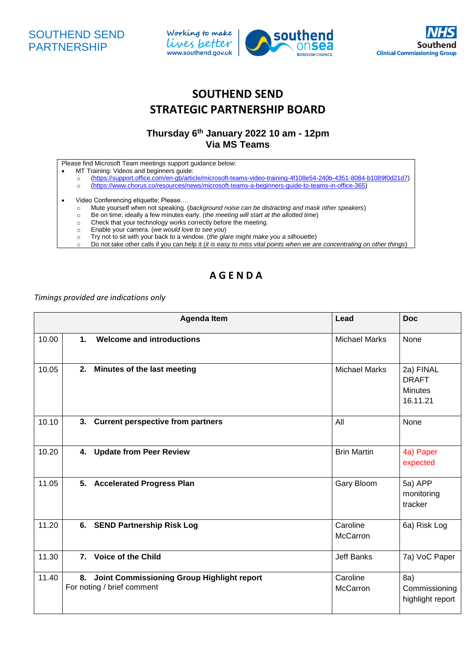





## **SOUTHEND SEND STRATEGIC PARTNERSHIP BOARD**

## **Thursday 6 th January 2022 10 am - 12pm Via MS Teams**

| Please find Microsoft Team meetings support guidance below: |  |  |
|-------------------------------------------------------------|--|--|
|                                                             |  |  |

- MT Training: Videos and beginners guide:
	- o [\(https://support.office.com/en-gb/article/microsoft-teams-video-training-4f108e54-240b-4351-8084-b1089f0d21d7\)](https://support.office.com/en-gb/article/microsoft-teams-video-training-4f108e54-240b-4351-8084-b1089f0d21d7)
- o [\(https://www.chorus.co/resources/news/microsoft-teams-a-beginners-guide-to-teams-in-office-365\)](https://www.chorus.co/resources/news/microsoft-teams-a-beginners-guide-to-teams-in-office-365)
- Video Conferencing etiquette; Please....
	- o Mute yourself when not speaking. (*background noise can be distracting and mask other speakers*)
	- o Be on time; ideally a few minutes early. (*the meeting will start at the allotted time*)
	- o Check that your technology works correctly before the meeting.
	- o Enable your camera. (*we would love to see you*)
	- o Try not to sit with your back to a window. (*the glare might make you a silhouette*)
	- o Do not take other calls if you can help it (*it is easy to miss vital points when we are concentrating on other things*)

## **A G E N D A**

## *Timings provided are indications only*

|       |                | <b>Agenda Item</b>                                                       | Lead                 | <b>Doc</b>                                              |
|-------|----------------|--------------------------------------------------------------------------|----------------------|---------------------------------------------------------|
| 10.00 | 1.             | <b>Welcome and introductions</b>                                         | <b>Michael Marks</b> | None                                                    |
| 10.05 | 2.             | Minutes of the last meeting                                              | <b>Michael Marks</b> | 2a) FINAL<br><b>DRAFT</b><br><b>Minutes</b><br>16.11.21 |
| 10.10 |                | 3. Current perspective from partners                                     | All                  | None                                                    |
| 10.20 | 4.             | <b>Update from Peer Review</b>                                           | <b>Brin Martin</b>   | 4a) Paper<br>expected                                   |
| 11.05 |                | 5. Accelerated Progress Plan                                             | Gary Bloom           | 5a) APP<br>monitoring<br>tracker                        |
| 11.20 |                | 6. SEND Partnership Risk Log                                             | Caroline<br>McCarron | 6a) Risk Log                                            |
| 11.30 | 7 <sub>1</sub> | <b>Voice of the Child</b>                                                | <b>Jeff Banks</b>    | 7a) VoC Paper                                           |
| 11.40 | 8.             | Joint Commissioning Group Highlight report<br>For noting / brief comment | Caroline<br>McCarron | 8a)<br>Commissioning<br>highlight report                |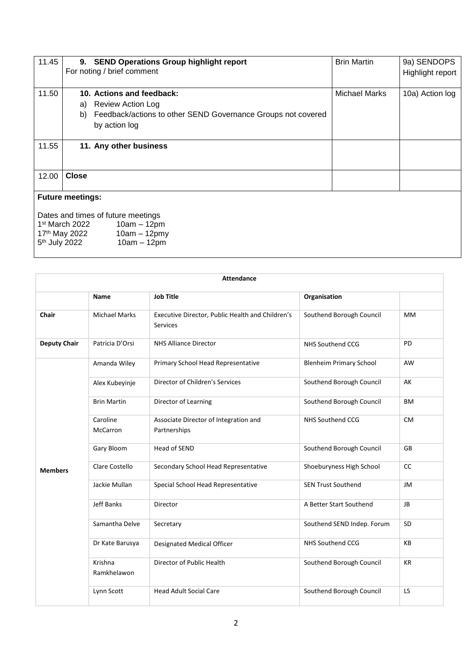| 11.45 | <b>SEND Operations Group highlight report</b><br>9.<br>For noting / brief comment                                                                  | <b>Brin Martin</b>   | 9a) SENDOPS<br>Highlight report |
|-------|----------------------------------------------------------------------------------------------------------------------------------------------------|----------------------|---------------------------------|
| 11.50 | 10. Actions and feedback:<br><b>Review Action Log</b><br>a)<br>Feedback/actions to other SEND Governance Groups not covered<br>b)<br>by action log | <b>Michael Marks</b> | 10a) Action log                 |
| 11.55 | 11. Any other business                                                                                                                             |                      |                                 |
| 12.00 | <b>Close</b>                                                                                                                                       |                      |                                 |
|       | <b>Future meetings:</b>                                                                                                                            |                      |                                 |
|       | Dates and times of future meetings<br>$1st$ March 2022<br>$10am - 12pm$<br>$10$ am $=$ 12nm $u$<br>17th May 2022                                   |                      |                                 |

| 17 <sup>th</sup> May 2022 | $10am - 12pmy$ |
|---------------------------|----------------|
| 5 <sup>th</sup> July 2022 | 10am – 12pm    |

|                     | <b>Attendance</b>           |                                                              |                                |           |
|---------------------|-----------------------------|--------------------------------------------------------------|--------------------------------|-----------|
|                     | Name                        | <b>Job Title</b>                                             | Organisation                   |           |
| Chair               | <b>Michael Marks</b>        | Executive Director, Public Health and Children's<br>Services | Southend Borough Council       | <b>MM</b> |
| <b>Deputy Chair</b> | Patricia D'Orsi             | <b>NHS Alliance Director</b>                                 | <b>NHS Southend CCG</b>        | PD        |
|                     | Amanda Wiley                | Primary School Head Representative                           | <b>Blenheim Primary School</b> | AW        |
|                     | Alex Kubeyinje              | Director of Children's Services                              | Southend Borough Council       | AK        |
|                     | <b>Brin Martin</b>          | Director of Learning                                         | Southend Borough Council       | <b>BM</b> |
|                     | Caroline<br><b>McCarron</b> | Associate Director of Integration and<br>Partnerships        | NHS Southend CCG               | <b>CM</b> |
|                     | Gary Bloom                  | <b>Head of SEND</b>                                          | Southend Borough Council       | <b>GB</b> |
| <b>Members</b>      | Clare Costello              | Secondary School Head Representative                         | Shoeburyness High School       | <b>CC</b> |
|                     | Jackie Mullan               | Special School Head Representative                           | <b>SEN Trust Southend</b>      | JM        |
|                     | Jeff Banks                  | Director                                                     | A Better Start Southend        | <b>JB</b> |
|                     | Samantha Delve              | Secretary                                                    | Southend SEND Indep. Forum     | SD        |
|                     | Dr Kate Barusya             | Designated Medical Officer                                   | NHS Southend CCG               | KB        |
|                     | Krishna<br>Ramkhelawon      | Director of Public Health                                    | Southend Borough Council       | <b>KR</b> |
|                     | Lynn Scott                  | <b>Head Adult Social Care</b>                                | Southend Borough Council       | <b>LS</b> |